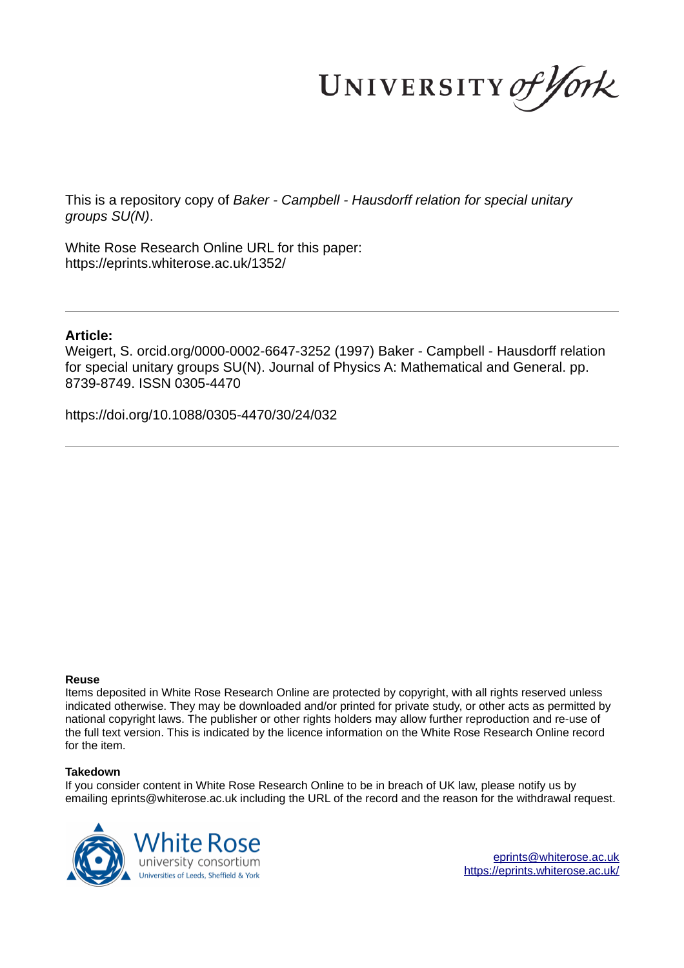UNIVERSITY of York

This is a repository copy of *Baker - Campbell - Hausdorff relation for special unitary groups SU(N)*.

White Rose Research Online URL for this paper: https://eprints.whiterose.ac.uk/1352/

## **Article:**

Weigert, S. orcid.org/0000-0002-6647-3252 (1997) Baker - Campbell - Hausdorff relation for special unitary groups SU(N). Journal of Physics A: Mathematical and General. pp. 8739-8749. ISSN 0305-4470

https://doi.org/10.1088/0305-4470/30/24/032

### **Reuse**

Items deposited in White Rose Research Online are protected by copyright, with all rights reserved unless indicated otherwise. They may be downloaded and/or printed for private study, or other acts as permitted by national copyright laws. The publisher or other rights holders may allow further reproduction and re-use of the full text version. This is indicated by the licence information on the White Rose Research Online record for the item.

### **Takedown**

If you consider content in White Rose Research Online to be in breach of UK law, please notify us by emailing eprints@whiterose.ac.uk including the URL of the record and the reason for the withdrawal request.



eprints@whiterose.ac.uk https://eprints.whiterose.ac.uk/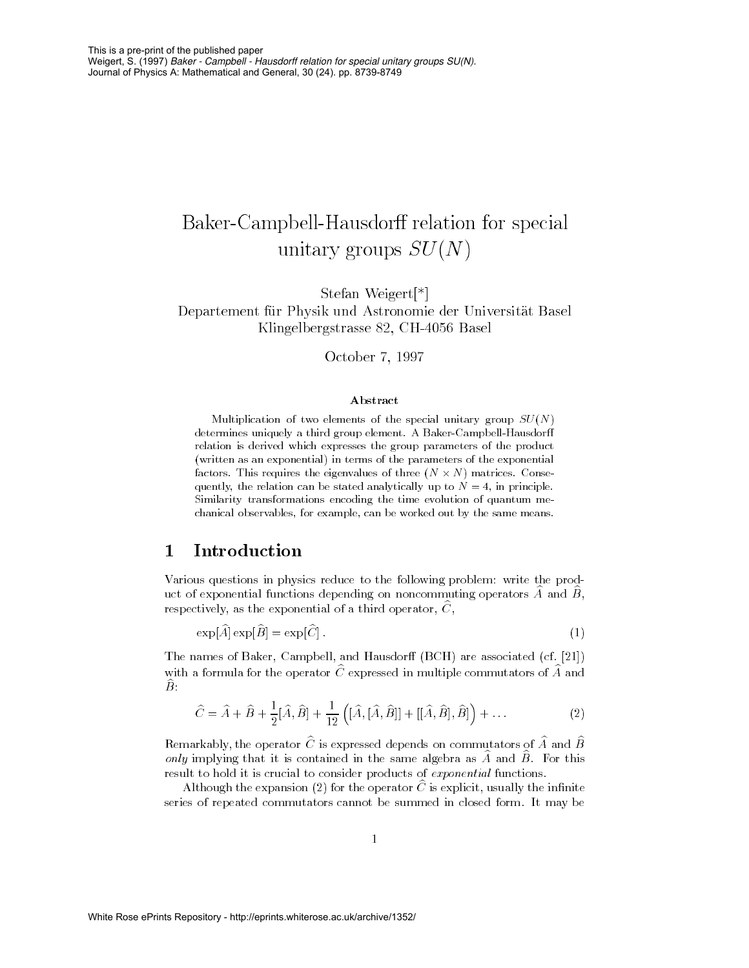# -- - - 
- - -

- -℄ -- - -- Klingelbergstrasse 82, CH-4056 Basel

+
- -# .//-

### Abstract

-  - - - - - - 

- 
!
 

"

 - 

 -  
" 

" the core is the talent of the column of the core of the core of the state of the core of the core of the core - \$ 

 - % &\$ Similarity transformations encoding the time evolution of quantum me- 
!
\$ 
"
\$ 
  
 - 

# $\mathbf 1$

-  
    $\alpha$  are the contraction of the contractions of the controller contracting operators  $A$  and  $D$ ,  $\alpha$  respectively, as the exponential of a third operator,  $\cup$  ,

$$
\exp[\hat{A}] \exp[\hat{B}] = \exp[\hat{C}]. \tag{1}
$$

The names of Baker, Campbell, and Hausdorff (BCH) are associated (cf. [21]) with a formula for the operator  $\cup$  expressed in inditiple commutators of  $A$  and  $\bm{\nu}$  .

$$
\hat{C} = \hat{A} + \hat{B} + \frac{1}{2} [\hat{A}, \hat{B}] + \frac{1}{12} ([\hat{A}, [\hat{A}, \hat{B}]] + [[\hat{A}, \hat{B}], \hat{B}]) + ...
$$
\n(2)

 $\Gamma$  remarkably, the operator  $\cup$  is expressed depends on commutators of  $A$  and  $D$  $_{\text{outq}}$  imprying that it is contained in the same algebra as  $A$  and  $D$ . For this 

- 
  -- (

 $\Lambda$ rthough the expansion (2) for the operator  $\cup$  is explicit, usually the minime  - - 
- 
 ( / -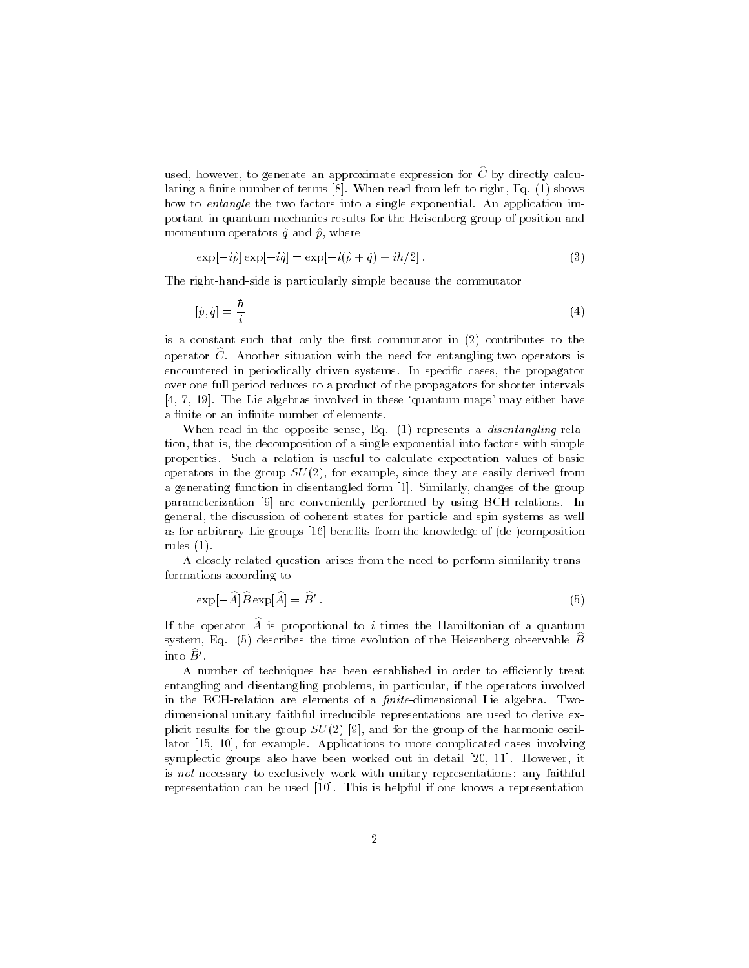used, however, to generate an approximate expression for  $\hat{C}$  by directly calculating a finite number of terms  $[8]$ . When read from left to right, Eq.  $(1)$  shows how to *entangle* the two factors into a single exponential. An application important in quantum mechanics results for the Heisenberg group of position and momentum operators  $\hat{q}$  and  $\hat{p}$ , where

$$
\exp[-i\hat{p}] \exp[-i\hat{q}] = \exp[-i(\hat{p} + \hat{q}) + i\hbar/2]. \tag{3}
$$

The right-hand-side is particularly simple because the commutator

$$
[\hat{p}, \hat{q}] = \frac{\hbar}{i} \tag{4}
$$

is a constant such that only the first commutator in  $(2)$  contributes to the operator  $C$ . Another situation with the need for entangling two operators is encountered in periodically driven systems. In specific cases, the propagator over one full period reduces to a product of the propagators for shorter intervals [4, 7, 19]. The Lie algebras involved in these 'quantum maps' may either have a finite or an infinite number of elements.

When read in the opposite sense, Eq.  $(1)$  represents a *disentangling* relation, that is, the decomposition of a single exponential into factors with simple properties. Such a relation is useful to calculate expectation values of basic operators in the group  $SU(2)$ , for example, since they are easily derived from a generating function in disentangled form [1]. Similarly, changes of the group parameterization [9] are conveniently performed by using BCH-relations. In general, the discussion of coherent states for particle and spin systems as well as for arbitrary Lie groups [16] benefits from the knowledge of (de-)composition rules  $(1)$ .

A closely related question arises from the need to perform similarity transformations according to

$$
\exp[-\widehat{A}]\widehat{B}\exp[\widehat{A}]=\widehat{B}'\,. \tag{5}
$$

If the operator  $\hat{A}$  is proportional to *i* times the Hamiltonian of a quantum system, Eq. (5) describes the time evolution of the Heisenberg observable  $\widehat{B}$ into  $\widehat{B}^{\prime}$ 

A number of techniques has been established in order to efficiently treat entangling and disentangling problems, in particular, if the operators involved in the BCH-relation are elements of a *finite*-dimensional Lie algebra. Twodimensional unitary faithful irreducible representations are used to derive explicit results for the group  $SU(2)$  [9], and for the group of the harmonic oscillator [15, 10], for example. Applications to more complicated cases involving symplectic groups also have been worked out in detail [20, 11]. However, it is not necessary to exclusively work with unitary representations: any faithful representation can be used [10]. This is helpful if one knows a representation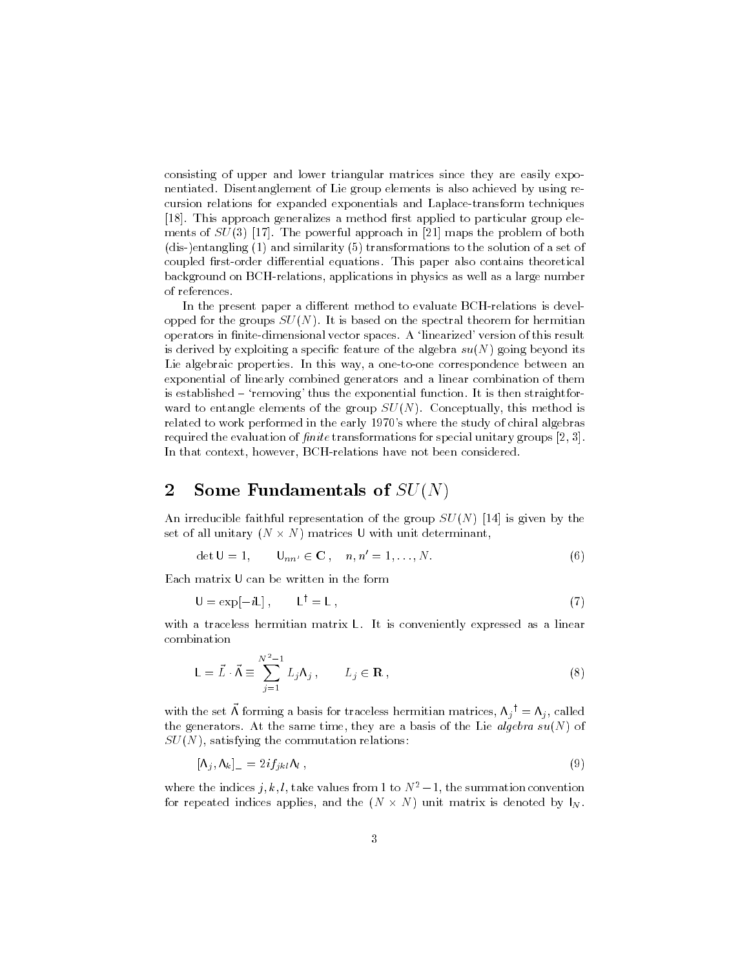consisting of upper and lower triangular matrices since they are easily exponentiated. Disentanglement of Lie group elements is also achieved by using recursion relations for expanded exponentials and Laplace-transform techniques [18]. This approach generalizes a method first applied to particular group elements of  $SU(3)$  [17]. The powerful approach in [21] maps the problem of both (dis-)entangling  $(1)$  and similarity  $(5)$  transformations to the solution of a set of coupled first-order differential equations. This paper also contains theoretical background on BCH-relations, applications in physics as well as a large number of references.

In the present paper a different method to evaluate BCH-relations is developped for the groups  $SU(N)$ . It is based on the spectral theorem for hermitian operators in finite-dimensional vector spaces. A 'linearized' version of this result is derived by exploiting a specific feature of the algebra  $su(N)$  going beyond its Lie algebraic properties. In this way, a one-to-one correspondence between an exponential of linearly combined generators and a linear combination of them is established – 'removing' thus the exponential function. It is then straightforward to entangle elements of the group  $SU(N)$ . Conceptually, this method is related to work performed in the early 1970's where the study of chiral algebras required the evaluation of finite transformations for special unitary groups  $[2, 3]$ . In that context, however, BCH-relations have not been considered.

#### $\overline{2}$ Some Fundamentals of  $SU(N)$

An irreducible faithful representation of the group  $SU(N)$  [14] is given by the set of all unitary  $(N \times N)$  matrices U with unit determinant.

$$
\det U = 1, \qquad U_{nn'} \in \mathbf{C} \,, \quad n, n' = 1, \dots, N. \tag{6}
$$

Each matrix U can be written in the form

$$
U = \exp[-iL], \qquad L^{\dagger} = L \tag{7}
$$

with a traceless hermitian matrix L. It is conveniently expressed as a linear combination

$$
\mathsf{L} = \vec{L} \cdot \vec{\Lambda} \equiv \sum_{j=1}^{N^2 - 1} L_j \Lambda_j , \qquad L_j \in \mathbf{R} ,
$$
 (8)

with the set  $\vec{\Lambda}$  forming a basis for traceless hermitian matrices,  $\Lambda_j^{\dagger} = \Lambda_j$ , called the generators. At the same time, they are a basis of the Lie algebra  $su(N)$  of  $SU(N)$ , satisfying the commutation relations:

$$
\left[\Lambda_j, \Lambda_k\right]_- = 2if_{jkl}\Lambda_l \tag{9}
$$

where the indices j, k, l, take values from 1 to  $N^2-1$ , the summation convention for repeated indices applies, and the  $(N \times N)$  unit matrix is denoted by  $\vert_N$ .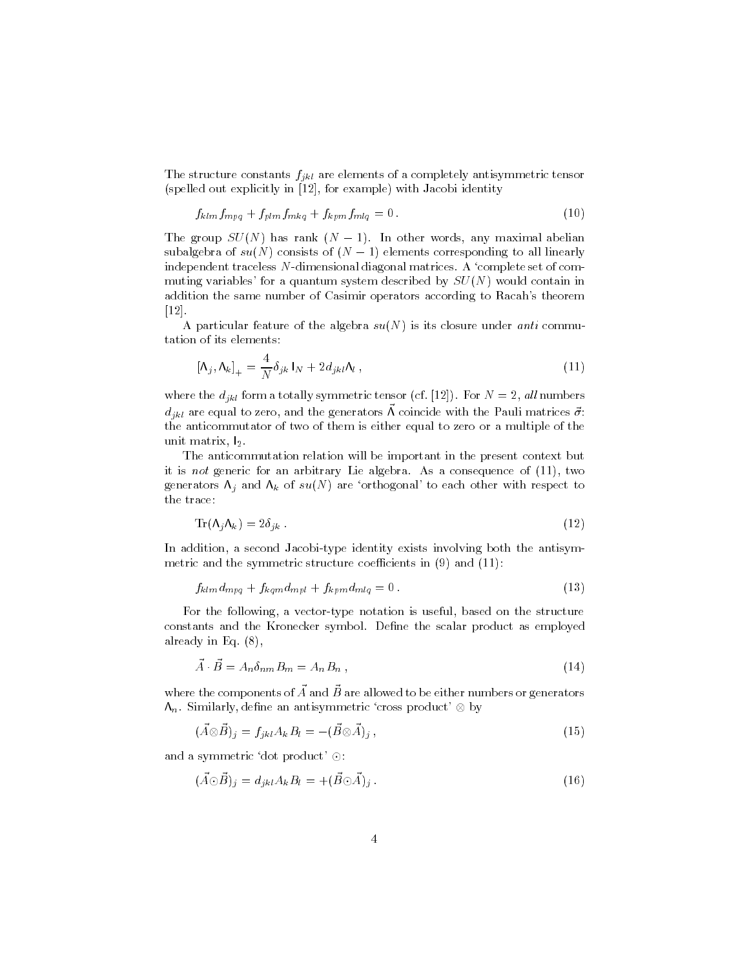The structure constants  $f_{jkl}$  are elements of a completely antisymmetric tensor (spelled out explicitly in [12], for example) with Jacobi identity

$$
f_{klm}f_{mpq} + f_{plm}f_{mkq} + f_{kpm}f_{mlq} = 0.
$$
\n
$$
(10)
$$

The group  $SU(N)$  has rank  $(N-1)$ . In other words, any maximal abelian subalgebra of  $su(N)$  consists of  $(N-1)$  elements corresponding to all linearly independent traceless N-dimensional diagonal matrices. A 'complete set of commuting variables' for a quantum system described by  $SU(N)$  would contain in addition the same number of Casimir operators according to Racah's theorem  $\left\lceil 12\right\rceil$ .

A particular feature of the algebra  $su(N)$  is its closure under *anti* commutation of its elements:

$$
\left[\Lambda_j, \Lambda_k\right]_+ = \frac{4}{N} \delta_{jk} \, \mathbf{I}_N + 2 d_{jkl} \Lambda_l \,, \tag{11}
$$

where the  $d_{jkl}$  form a totally symmetric tensor (cf. [12]). For  $N=2$ , all numbers  $d_{jkl}$  are equal to zero, and the generators  $\vec{\Lambda}$  coincide with the Pauli matrices  $\vec{\sigma}$ : the anticommutator of two of them is either equal to zero or a multiple of the unit matrix, l2.

The anticommutation relation will be important in the present context but it is *not* generic for an arbitrary Lie algebra. As a consequence of  $(11)$ , two generators  $\Lambda_i$  and  $\Lambda_k$  of  $su(N)$  are 'orthogonal' to each other with respect to the trace:

$$
\operatorname{Tr}(\Lambda_j \Lambda_k) = 2\delta_{jk} \tag{12}
$$

In addition, a second Jacobi-type identity exists involving both the antisymmetric and the symmetric structure coefficients in  $(9)$  and  $(11)$ :

$$
f_{klm}d_{mpq} + f_{kqm}d_{mpl} + f_{kpm}d_{mlq} = 0.
$$
\n(13)

For the following, a vector-type notation is useful, based on the structure constants and the Kronecker symbol. Define the scalar product as employed already in Eq.  $(8)$ ,

$$
\vec{A} \cdot \vec{B} = A_n \delta_{nm} B_m = A_n B_n , \qquad (14)
$$

where the components of  $\vec{A}$  and  $\vec{B}$  are allowed to be either numbers or generators  $\Lambda_n$ . Similarly, define an antisymmetric 'cross product'  $\otimes$  by

$$
(\vec{A}\otimes\vec{B})_j = f_{jkl}A_kB_l = -(\vec{B}\otimes\vec{A})_j,
$$
\n(15)

and a symmetric 'dot product'  $\odot$ :

$$
(\vec{A}\odot\vec{B})_j = d_{jkl}A_kB_l = +(\vec{B}\odot\vec{A})_j.
$$
\n(16)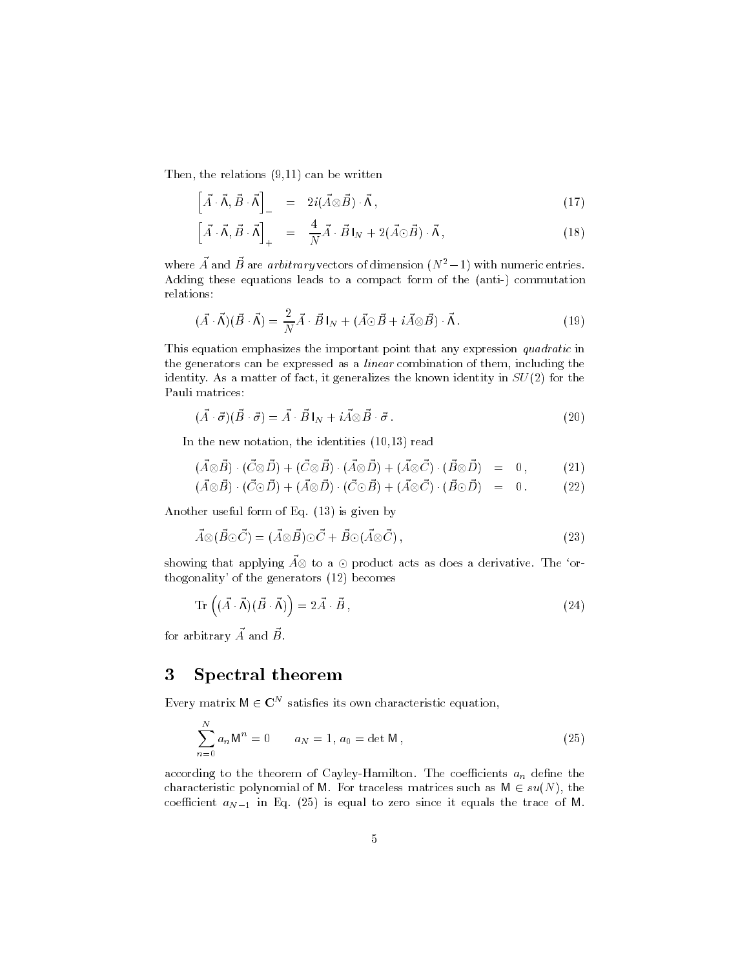Then, the relations  $(9,11)$  can be written

$$
\left[\vec{A}\cdot\vec{\Lambda},\vec{B}\cdot\vec{\Lambda}\right]_{-} = 2i(\vec{A}\otimes\vec{B})\cdot\vec{\Lambda},\tag{17}
$$

$$
\left[\vec{A}\cdot\vec{\Lambda},\vec{B}\cdot\vec{\Lambda}\right]_{+} = \frac{4}{N}\vec{A}\cdot\vec{B}\,I_{N} + 2(\vec{A}\odot\vec{B})\cdot\vec{\Lambda}\,,\tag{18}
$$

where  $\vec{A}$  and  $\vec{B}$  are *arbitrary* vectors of dimension  $(N^2-1)$  with numeric entries. Adding these equations leads to a compact form of the (anti-) commutation relations:

$$
(\vec{A} \cdot \vec{\Lambda})(\vec{B} \cdot \vec{\Lambda}) = \frac{2}{N} \vec{A} \cdot \vec{B} I_N + (\vec{A} \odot \vec{B} + i \vec{A} \otimes \vec{B}) \cdot \vec{\Lambda}.
$$
 (19)

This equation emphasizes the important point that any expression quadratic in the generators can be expressed as a *linear* combination of them, including the identity. As a matter of fact, it generalizes the known identity in  $SU(2)$  for the Pauli matrices:

$$
(\vec{A} \cdot \vec{\sigma})(\vec{B} \cdot \vec{\sigma}) = \vec{A} \cdot \vec{B} \, I_N + i \vec{A} \otimes \vec{B} \cdot \vec{\sigma} \,. \tag{20}
$$

In the new notation, the identities  $(10,13)$  read

$$
(\vec{A}\otimes\vec{B})\cdot(\vec{C}\otimes\vec{D})+(\vec{C}\otimes\vec{B})\cdot(\vec{A}\otimes\vec{D})+(\vec{A}\otimes\vec{C})\cdot(\vec{B}\otimes\vec{D}) = 0, \qquad (21)
$$

$$
(A \otimes B) \cdot (C \odot D) + (A \otimes D) \cdot (C \odot B) + (A \otimes C) \cdot (B \odot D) = 0. \tag{22}
$$

Another useful form of Eq. (13) is given by

$$
\vec{A} \otimes (\vec{B} \odot \vec{C}) = (\vec{A} \otimes \vec{B}) \odot \vec{C} + \vec{B} \odot (\vec{A} \otimes \vec{C}) , \qquad (23)
$$

showing that applying  $\vec{A} \otimes$  to a  $\odot$  product acts as does a derivative. The 'orthogonality' of the generators (12) becomes

$$
\operatorname{Tr}\left((\vec{A}\cdot\vec{\Lambda})(\vec{B}\cdot\vec{\Lambda})\right) = 2\vec{A}\cdot\vec{B},\tag{24}
$$

for arbitrary  $\vec{A}$  and  $\vec{B}$ .

#### Spectral theorem 3

Every matrix  $M \in \mathbb{C}^N$  satisfies its own characteristic equation,

$$
\sum_{n=0}^{N} a_n \mathsf{M}^n = 0 \qquad a_N = 1, a_0 = \det \mathsf{M}, \qquad (25)
$$

according to the theorem of Cayley-Hamilton. The coefficients  $a_n$  define the characteristic polynomial of M. For traceless matrices such as  $M \in su(N)$ , the coefficient  $a_{N-1}$  in Eq. (25) is equal to zero since it equals the trace of M.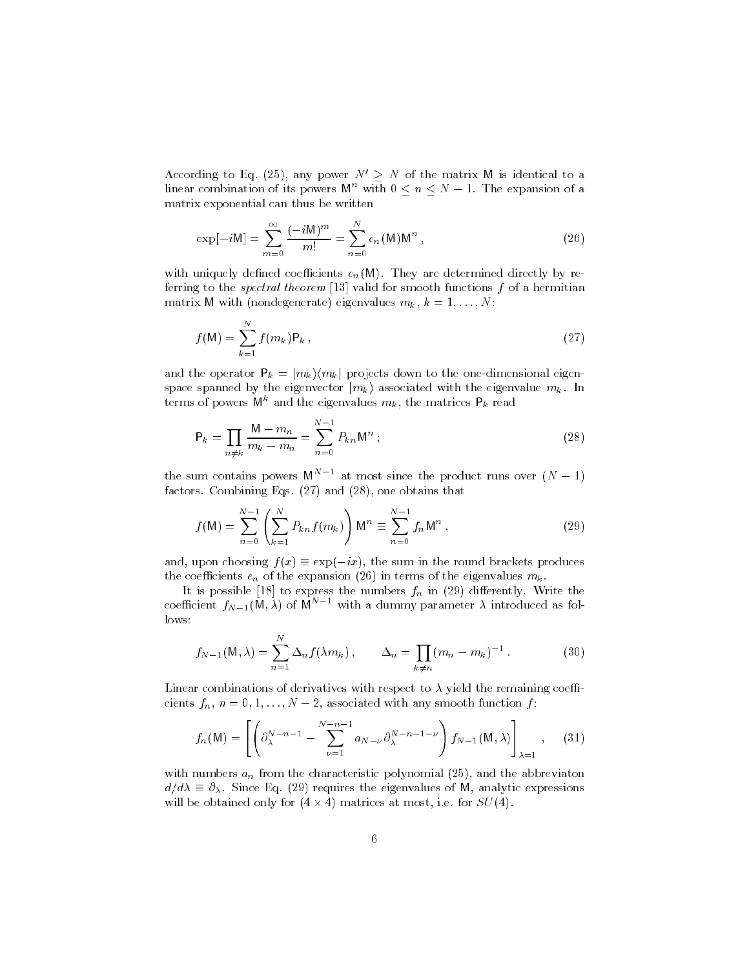According to Eq. (25), any power  $N' \geq N$  of the matrix M is identical to a linear combination of its powers  $M^n$  with  $0 \le n \le N-1$ . The expansion of a matrix exponential can thus be written

$$
\exp[-i\mathbf{M}] = \sum_{m=0}^{\infty} \frac{(-i\mathbf{M})^m}{m!} = \sum_{n=0}^{N} e_n(\mathbf{M}) \mathbf{M}^n , \qquad (26)
$$

with uniquely defined coefficients  $e_n(M)$ . They are determined directly by referring to the *spectral theorem* [13] valid for smooth functions  $f$  of a hermitian matrix M with (nondegenerate) eigenvalues  $m_k$ ,  $k = 1, ..., N$ :

$$
f(M) = \sum_{k=1}^{N} f(m_k) P_k ,
$$
 (27)

and the operator  $P_k = |m_k\rangle\langle m_k|$  projects down to the one-dimensional eigenspace spanned by the eigenvector  $|m_k\rangle$  associated with the eigenvalue  $m_k$ . In terms of powers  $M^k$  and the eigenvalues  $m_k$ , the matrices  $P_k$  read

$$
P_k = \prod_{n \neq k} \frac{M - m_n}{m_k - m_n} = \sum_{n=0}^{N-1} P_{kn} M^n ; \qquad (28)
$$

the sum contains powers  $M^{N-1}$  at most since the product runs over  $(N-1)$ factors. Combining Eqs. (27) and (28), one obtains that

$$
f(M) = \sum_{n=0}^{N-1} \left( \sum_{k=1}^{N} P_{kn} f(m_k) \right) M^n \equiv \sum_{n=0}^{N-1} f_n M^n , \qquad (29)
$$

and, upon choosing  $f(x) \equiv \exp(-ix)$ , the sum in the round brackets produces the coefficients  $e_n$  of the expansion (26) in terms of the eigenvalues  $m_k$ .

It is possible [18] to express the numbers  $f_n$  in (29) differently. Write the coefficient  $f_{N-1}(M, \lambda)$  of  $M^{N-1}$  with a dummy parameter  $\lambda$  introduced as follows:

$$
f_{N-1}(\mathsf{M},\lambda) = \sum_{n=1}^{N} \Delta_n f(\lambda m_k), \qquad \Delta_n = \prod_{k \neq n} (m_n - m_k)^{-1}.
$$
 (30)

Linear combinations of derivatives with respect to  $\lambda$  yield the remaining coefficients  $f_n$ ,  $n = 0, 1, ..., N - 2$ , associated with any smooth function  $f$ :

$$
f_n(\mathbf{M}) = \left[ \left( \partial_{\lambda}^{N-n-1} - \sum_{\nu=1}^{N-n-1} a_{N-\nu} \partial_{\lambda}^{N-n-1-\nu} \right) f_{N-1}(\mathbf{M}, \lambda) \right]_{\lambda=1}, \quad (31)
$$

with numbers  $a_n$  from the characteristic polynomial (25), and the abbreviaton  $d/d\lambda \equiv \partial_{\lambda}$ . Since Eq. (29) requires the eigenvalues of M, analytic expressions will be obtained only for  $(4 \times 4)$  matrices at most, i.e. for  $SU(4)$ .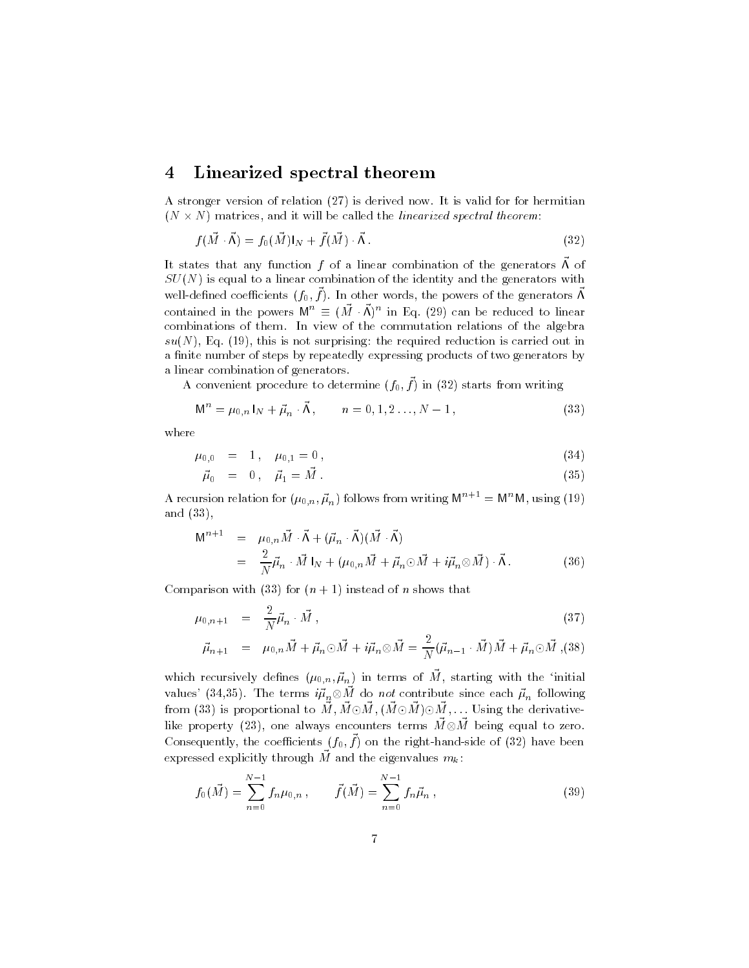#### Linearized spectral theorem  $\overline{4}$

A stronger version of relation (27) is derived now. It is valid for for hermitian  $(N \times N)$  matrices, and it will be called the linearized spectral theorem:

$$
f(\vec{M} \cdot \vec{\Lambda}) = f_0(\vec{M})|_N + \vec{f}(\vec{M}) \cdot \vec{\Lambda} \,. \tag{32}
$$

It states that any function f of a linear combination of the generators  $\vec{\Lambda}$  of  $SU(N)$  is equal to a linear combination of the identity and the generators with well-defined coefficients  $(f_0, \vec{f})$ . In other words, the powers of the generators  $\vec{\Lambda}$ contained in the powers  $M^n \equiv (\vec{M} \cdot \vec{\Lambda})^n$  in Eq. (29) can be reduced to linear combinations of them. In view of the commutation relations of the algebra  $su(N)$ , Eq. (19), this is not surprising: the required reduction is carried out in a finite number of steps by repeatedly expressing products of two generators by a linear combination of generators.

A convenient procedure to determine  $(f_0, \vec{f})$  in (32) starts from writing

$$
\mathsf{M}^n = \mu_{0,n} \, \mathsf{I}_N + \vec{\mu}_n \cdot \vec{\mathsf{\Lambda}} \,, \qquad n = 0, 1, 2 \dots, N - 1 \,, \tag{33}
$$

where

$$
\mu_{0,0} = 1, \quad \mu_{0,1} = 0, \tag{34}
$$

$$
\vec{\mu}_0 = 0, \quad \vec{\mu}_1 = \vec{M} \tag{35}
$$

A recursion relation for  $(\mu_{0,n}, \vec{\mu}_n)$  follows from writing  $M^{n+1} = M^n M$ , using (19) and  $(33)$ ,

$$
M^{n+1} = \mu_{0,n} \vec{M} \cdot \vec{\Lambda} + (\vec{\mu}_n \cdot \vec{\Lambda})(\vec{M} \cdot \vec{\Lambda})
$$
  
= 
$$
\frac{2}{N} \vec{\mu}_n \cdot \vec{M} \, I_N + (\mu_{0,n} \vec{M} + \vec{\mu}_n \odot \vec{M} + i \vec{\mu}_n \otimes \vec{M}) \cdot \vec{\Lambda}.
$$
 (36)

Comparison with (33) for  $(n + 1)$  instead of *n* shows that

$$
\mu_{0,n+1} = \frac{2}{N} \vec{\mu}_n \cdot \vec{M}, \qquad (37)
$$

$$
\vec{\mu}_{n+1} = \mu_{0,n}\vec{M} + \vec{\mu}_n \odot \vec{M} + i\vec{\mu}_n \otimes \vec{M} = \frac{2}{N} (\vec{\mu}_{n-1} \cdot \vec{M})\vec{M} + \vec{\mu}_n \odot \vec{M}
$$
 (38)

which recursively defines  $(\mu_{0,n}, \vec{\mu}_n)$  in terms of  $\vec{M}$ , starting with the 'initial values' (34,35). The terms  $i\vec{\mu}_n \otimes \vec{M}$  do not contribute since each  $\vec{\mu}_n$  following<br>from (33) is proportional to  $\vec{M}$ ,  $\vec{M} \odot \vec{M}$ ,  $(\vec{M} \odot \vec{M}) \odot \vec{M}$ , ... Using the derivativelike property (23), one always encounters terms  $\vec{M} \otimes \vec{M}$  being equal to zero. Consequently, the coefficients  $(f_0, \vec{f})$  on the right-hand-side of (32) have been expressed explicitly through  $\vec{M}$  and the eigenvalues  $m_k$ :

$$
f_0(\vec{M}) = \sum_{n=0}^{N-1} f_n \mu_{0,n} , \qquad \vec{f}(\vec{M}) = \sum_{n=0}^{N-1} f_n \vec{\mu}_n , \qquad (39)
$$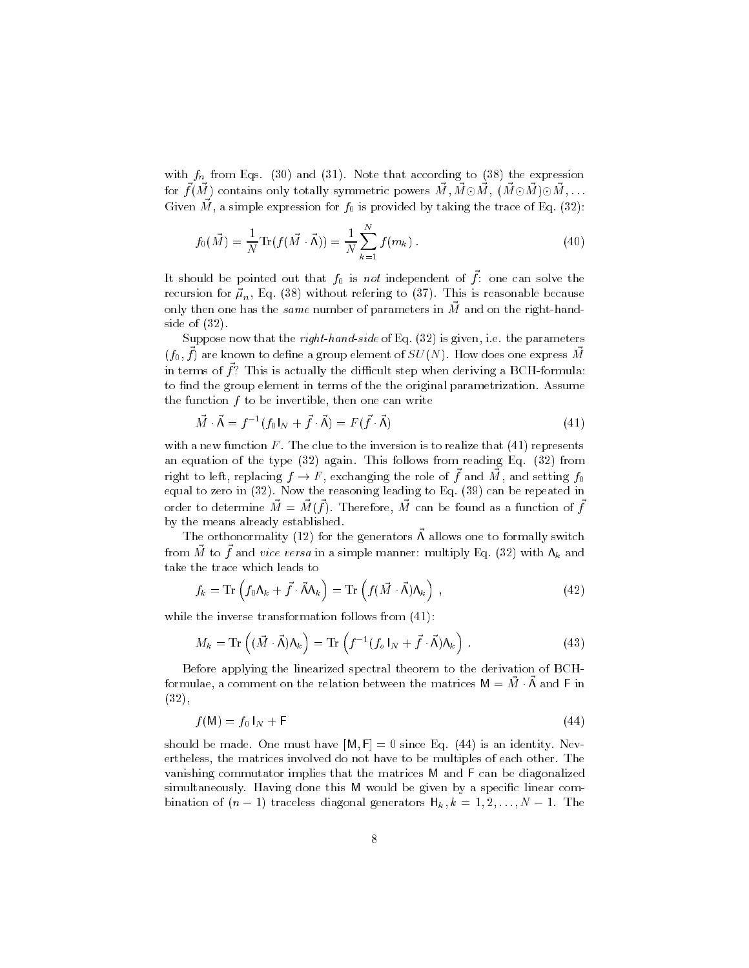with  $f_n$  from Eqs. (30) and (31). Note that according to (38) the expression for  $\vec{f}(\vec{M})$  contains only totally symmetric powers  $\vec{M}$ ,  $\vec{M} \odot \vec{M}$ ,  $(\vec{M} \odot \vec{M}) \odot \vec{M}$ , ... Given  $\vec{M}$ , a simple expression for  $f_0$  is provided by taking the trace of Eq. (32):

$$
f_0(\vec{M}) = \frac{1}{N} \text{Tr}(f(\vec{M} \cdot \vec{\Lambda})) = \frac{1}{N} \sum_{k=1}^{N} f(m_k).
$$
 (40)

It should be pointed out that  $f_0$  is not independent of  $\vec{f}$ : one can solve the recursion for  $\vec{\mu}_n$ , Eq. (38) without refering to (37). This is reasonable because only then one has the *same* number of parameters in  $\vec{M}$  and on the right-handside of  $(32)$ .

Suppose now that the *right-hand-side* of Eq.  $(32)$  is given, i.e. the parameters  $(f_0, f)$  are known to define a group element of  $SU(N)$ . How does one express M in terms of  $\vec{f}$ ? This is actually the difficult step when deriving a BCH-formula: to find the group element in terms of the the original parametrization. Assume the function  $f$  to be invertible, then one can write

$$
\vec{M} \cdot \vec{\Lambda} = f^{-1} (f_0 I_N + \vec{f} \cdot \vec{\Lambda}) = F(\vec{f} \cdot \vec{\Lambda})
$$
\n(41)

with a new function  $F$ . The clue to the inversion is to realize that  $(41)$  represents an equation of the type  $(32)$  again. This follows from reading Eq.  $(32)$  from right to left, replacing  $f \to F$ , exchanging the role of  $\vec{f}$  and  $\vec{M}$ , and setting  $f_0$ equal to zero in  $(32)$ . Now the reasoning leading to Eq.  $(39)$  can be repeated in order to determine  $\vec{M} = \vec{M}(\vec{f})$ . Therefore,  $\vec{M}$  can be found as a function of  $\vec{f}$ by the means already established.

The orthonormality (12) for the generators  $\vec{\Lambda}$  allows one to formally switch from  $\vec{M}$  to  $\vec{f}$  and vice versa in a simple manner: multiply Eq. (32) with  $\Lambda_k$  and take the trace which leads to

$$
f_k = \text{Tr}\left(f_0 \Lambda_k + \vec{f} \cdot \vec{\Lambda} \Lambda_k\right) = \text{Tr}\left(f(\vec{M} \cdot \vec{\Lambda}) \Lambda_k\right) , \qquad (42)
$$

while the inverse transformation follows from  $(41)$ :

$$
M_k = \text{Tr}\left((\vec{M} \cdot \vec{\Lambda})\Lambda_k\right) = \text{Tr}\left(f^{-1}(f_o \mid_N + \vec{f} \cdot \vec{\Lambda})\Lambda_k\right). \tag{43}
$$

Before applying the linearized spectral theorem to the derivation of BCHformulae, a comment on the relation between the matrices  $M = \vec{M} \cdot \vec{\Lambda}$  and F in  $(32),$ 

$$
f(\mathsf{M}) = f_0 \mathsf{I}_N + \mathsf{F} \tag{44}
$$

should be made. One must have  $[M, F] = 0$  since Eq. (44) is an identity. Nevertheless, the matrices involved do not have to be multiples of each other. The vanishing commutator implies that the matrices M and F can be diagonalized simultaneously. Having done this M would be given by a specific linear combination of  $(n-1)$  traceless diagonal generators  $H_k, k = 1, 2, ..., N-1$ . The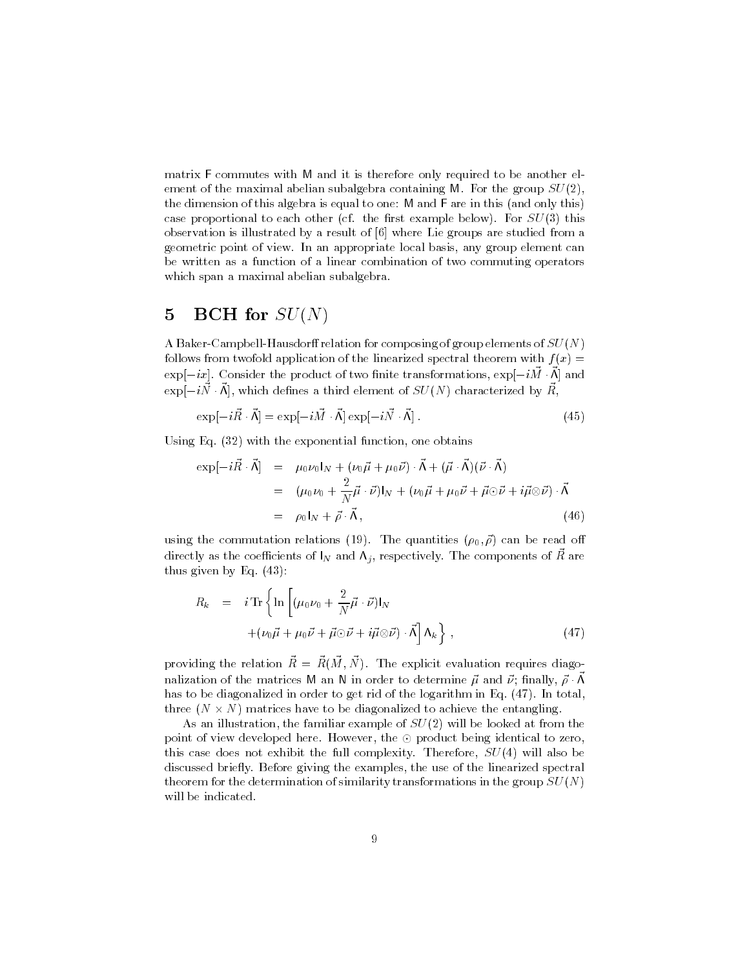matrix F commutes with M and it is therefore only required to be another element of the maximal abelian subalgebra containing M. For the group  $SU(2)$ , the dimension of this algebra is equal to one: M and F are in this (and only this) case proportional to each other (cf. the first example below). For  $SU(3)$  this observation is illustrated by a result of [6] where Lie groups are studied from a geometric point of view. In an appropriate local basis, any group element can be written as a function of a linear combination of two commuting operators which span a maximal abelian subalgebra.

#### **BCH** for  $SU(N)$  $\overline{5}$

A Baker-Campbell-Hausdorff relation for composing of group elements of  $SU(N)$ follows from twofold application of the linearized spectral theorem with  $f(x) =$  $\exp[-ix]$ . Consider the product of two finite transformations,  $\exp[-i\vec{M}\cdot\vec{\Lambda}]$  and  $\exp[-i\vec{N}\cdot\vec{\Lambda}]$ , which defines a third element of  $SU(N)$  characterized by  $\vec{R}$ ,

$$
\exp[-i\vec{R}\cdot\vec{\Lambda}] = \exp[-i\vec{M}\cdot\vec{\Lambda}]\exp[-i\vec{N}\cdot\vec{\Lambda}].
$$
\n(45)

Using Eq.  $(32)$  with the exponential function, one obtains

$$
\exp[-i\vec{R}\cdot\vec{\Lambda}] = \mu_0 \nu_0 I_N + (\nu_0 \vec{\mu} + \mu_0 \vec{\nu}) \cdot \vec{\Lambda} + (\vec{\mu} \cdot \vec{\Lambda})(\vec{\nu} \cdot \vec{\Lambda})
$$
  
\n
$$
= (\mu_0 \nu_0 + \frac{2}{N} \vec{\mu} \cdot \vec{\nu}) I_N + (\nu_0 \vec{\mu} + \mu_0 \vec{\nu} + \vec{\mu} \odot \vec{\nu} + i \vec{\mu} \otimes \vec{\nu}) \cdot \vec{\Lambda}
$$
  
\n
$$
= \rho_0 I_N + \vec{\rho} \cdot \vec{\Lambda}, \qquad (46)
$$

using the commutation relations (19). The quantities  $(\rho_0, \vec{\rho})$  can be read off directly as the coefficients of  $I_N$  and  $\Lambda_j$ , respectively. The components of  $\vec{R}$  are thus given by Eq.  $(43)$ :

$$
R_k = i \operatorname{Tr} \left\{ \ln \left[ (\mu_0 \nu_0 + \frac{2}{N} \vec{\mu} \cdot \vec{\nu}) I_N + (\nu_0 \vec{\mu} + \mu_0 \vec{\nu} + \vec{\mu} \odot \vec{\nu} + i \vec{\mu} \otimes \vec{\nu}) \cdot \vec{\Lambda} \right] \Lambda_k \right\},
$$
\n(47)

providing the relation  $\vec{R} = \vec{R}(\vec{M}, \vec{N})$ . The explicit evaluation requires diagonalization of the matrices M an N in order to determine  $\vec{\mu}$  and  $\vec{\nu}$ ; finally,  $\vec{\rho} \cdot \vec{\Lambda}$ has to be diagonalized in order to get rid of the logarithm in Eq. (47). In total, three  $(N \times N)$  matrices have to be diagonalized to achieve the entangling.

As an illustration, the familiar example of  $SU(2)$  will be looked at from the point of view developed here. However, the  $\odot$  product being identical to zero, this case does not exhibit the full complexity. Therefore,  $SU(4)$  will also be discussed briefly. Before giving the examples, the use of the linearized spectral theorem for the determination of similarity transformations in the group  $SU(N)$ will be indicated.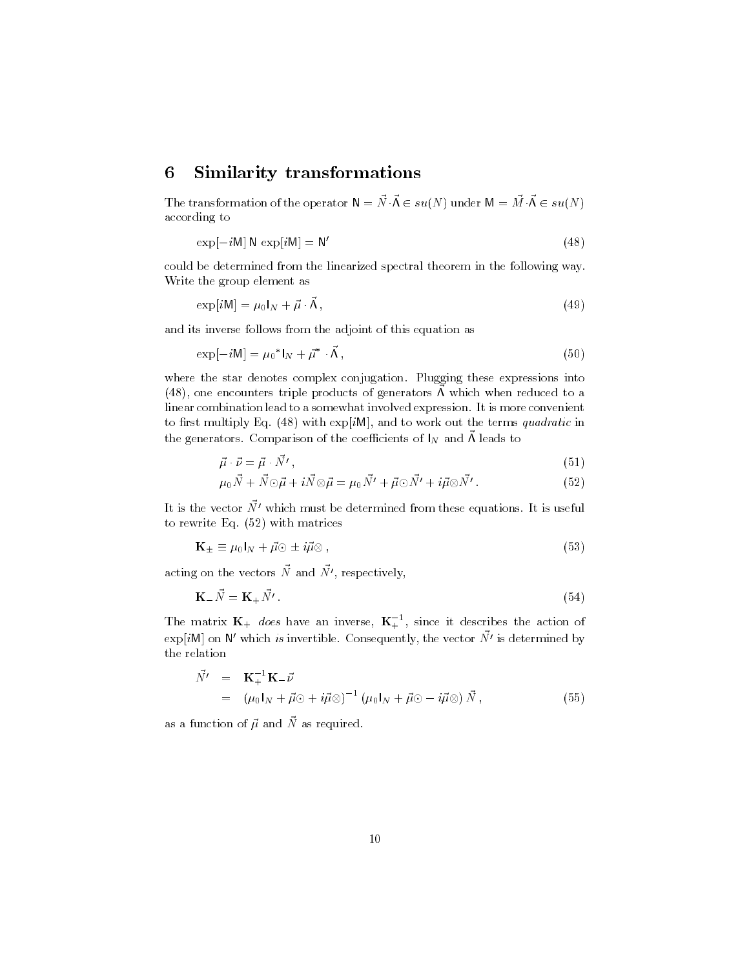#### **Similarity transformations** 6

The transformation of the operator  $\mathsf{N}=\vec{N}\cdot\vec{\mathsf{\Lambda}}\in su(N)$  under  $\mathsf{M}=\vec{M}\cdot\vec{\mathsf{\Lambda}}\in su(N)$ according to

$$
\exp[-i\mathsf{M}]\,\mathsf{N}\,\exp[i\mathsf{M}]=\mathsf{N}'\tag{48}
$$

could be determined from the linearized spectral theorem in the following way. Write the group element as

$$
\exp[i\mathsf{M}] = \mu_0 I_N + \vec{\mu} \cdot \vec{\Lambda},\tag{49}
$$

and its inverse follows from the adjoint of this equation as

$$
\exp[-i\mathsf{M}] = \mu_0^* \mathsf{I}_N + \vec{\mu}^* \cdot \vec{\mathsf{\Lambda}},\tag{50}
$$

where the star denotes complex conjugation. Plugging these expressions into  $(48)$ , one encounters triple products of generators A which when reduced to a linear combination lead to a somewhat involved expression. It is more convenient to first multiply Eq.  $(48)$  with exp[iM], and to work out the terms quadratic in the generators. Comparison of the coefficients of  $I_N$  and  $\vec{\Lambda}$  leads to

$$
\vec{\mu} \cdot \vec{\nu} = \vec{\mu} \cdot \vec{N'}, \tag{51}
$$

$$
\mu_0 \vec{N} + \vec{N} \odot \vec{\mu} + i \vec{N} \otimes \vec{\mu} = \mu_0 \vec{N'} + \vec{\mu} \odot \vec{N'} + i \vec{\mu} \otimes \vec{N'} . \tag{52}
$$

It is the vector  $\vec{N'}$  which must be determined from these equations. It is useful to rewrite Eq.  $(52)$  with matrices

$$
\mathbf{K}_{\pm} \equiv \mu_0 I_N + \vec{\mu} \odot \pm i\vec{\mu} \otimes , \tag{53}
$$

acting on the vectors  $\vec{N}$  and  $\vec{N'}$ , respectively,

$$
\mathbf{K} = \vec{N} = \mathbf{K} + \vec{N'} \,. \tag{54}
$$

The matrix  $\mathbf{K}_{+}$  does have an inverse,  $\mathbf{K}_{+}^{-1}$ , since it describes the action of  $\exp[iM]$  on N' which is invertible. Consequently, the vector  $\vec{N'}$  is determined by the relation

$$
\begin{split} \vec{N'} &= \mathbf{K}_{+}^{-1} \mathbf{K}_{-} \vec{\nu} \\ &= \left( \mu_{0} \mathbf{I}_{N} + \vec{\mu} \odot + i \vec{\mu} \otimes \right)^{-1} \left( \mu_{0} \mathbf{I}_{N} + \vec{\mu} \odot - i \vec{\mu} \otimes \right) \vec{N} \,, \end{split} \tag{55}
$$

as a function of  $\vec{\mu}$  and  $\vec{N}$  as required.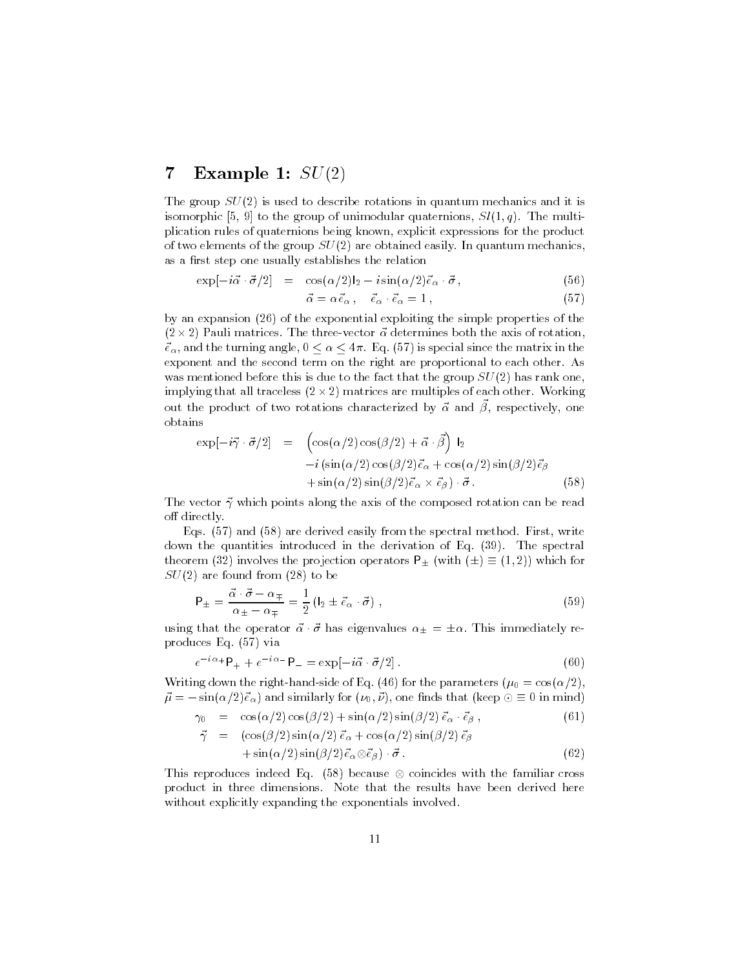#### $\bf 7$ **Example 1:**  $SU(2)$

The group  $SU(2)$  is used to describe rotations in quantum mechanics and it is isomorphic [5, 9] to the group of unimodular quaternions,  $Sl(1,q)$ . The multiplication rules of quaternions being known, explicit expressions for the product of two elements of the group  $SU(2)$  are obtained easily. In quantum mechanics, as a first step one usually establishes the relation

$$
\exp[-i\vec{\alpha}\cdot\vec{\sigma}/2] = \cos(\alpha/2)\mathbf{I}_2 - i\sin(\alpha/2)\vec{\epsilon}_\alpha \cdot \vec{\sigma}, \qquad (56)
$$

$$
\vec{\alpha} = \alpha \vec{e}_{\alpha} , \quad \vec{e}_{\alpha} \cdot \vec{e}_{\alpha} = 1 , \tag{57}
$$

by an expansion (26) of the exponential exploiting the simple properties of the  $(2 \times 2)$  Pauli matrices. The three-vector  $\vec{\alpha}$  determines both the axis of rotation,  $\vec{e}_{\alpha}$ , and the turning angle,  $0 \le \alpha \le 4\pi$ . Eq. (57) is special since the matrix in the exponent and the second term on the right are proportional to each other. As was mentioned before this is due to the fact that the group  $SU(2)$  has rank one, implying that all traceless  $(2 \times 2)$  matrices are multiples of each other. Working out the product of two rotations characterized by  $\vec{\alpha}$  and  $\vec{\beta}$ , respectively, one obtains

$$
\exp[-i\vec{\gamma}\cdot\vec{\sigma}/2] = \begin{pmatrix} \cos(\alpha/2)\cos(\beta/2) + \vec{\alpha}\cdot\vec{\beta} \\ -i\left(\sin(\alpha/2)\cos(\beta/2)\vec{\epsilon}_{\alpha} + \cos(\alpha/2)\sin(\beta/2)\vec{\epsilon}_{\beta} \\ +\sin(\alpha/2)\sin(\beta/2)\vec{\epsilon}_{\alpha} \times \vec{\epsilon}_{\beta}\right) \cdot \vec{\sigma} \end{pmatrix}
$$
(58)

The vector  $\vec{\gamma}$  which points along the axis of the composed rotation can be read off directly.

Eqs. (57) and (58) are derived easily from the spectral method. First, write down the quantities introduced in the derivation of Eq. (39). The spectral theorem (32) involves the projection operators  $P_{\pm}$  (with  $(\pm) \equiv (1,2)$ ) which for  $SU(2)$  are found from (28) to be

$$
P_{\pm} = \frac{\vec{\alpha} \cdot \vec{\sigma} - \alpha_{\mp}}{\alpha_{\pm} - \alpha_{\mp}} = \frac{1}{2} \left( l_2 \pm \vec{e}_{\alpha} \cdot \vec{\sigma} \right) , \qquad (59)
$$

using that the operator  $\vec{\alpha} \cdot \vec{\sigma}$  has eigenvalues  $\alpha_+ = \pm \alpha$ . This immediately reproduces Eq. (57) via

$$
e^{-i\alpha} + \mathsf{P}_{+} + e^{-i\alpha} - \mathsf{P}_{-} = \exp[-i\vec{\alpha} \cdot \vec{\sigma}/2]. \tag{60}
$$

Writing down the right-hand-side of Eq. (46) for the parameters  $(\mu_0 = \cos(\alpha/2))$ .  $\vec{\mu} = -\sin(\alpha/2)\vec{e}_{\alpha}$  and similarly for  $(\nu_0, \vec{\nu})$ , one finds that (keep  $\odot \equiv 0$  in mind)

$$
\gamma_0 = \cos(\alpha/2)\cos(\beta/2) + \sin(\alpha/2)\sin(\beta/2)\vec{\epsilon}_{\alpha} \cdot \vec{\epsilon}_{\beta}, \qquad (61)
$$

$$
\vec{\gamma} = (\cos(\beta/2)\sin(\alpha/2)\vec{e}_{\alpha} + \cos(\alpha/2)\sin(\beta/2)\vec{e}_{\beta} \n+ \sin(\alpha/2)\sin(\beta/2)\vec{e}_{\alpha}\otimes\vec{e}_{\beta}) \cdot \vec{\sigma}.
$$
\n(62)

This reproduces indeed Eq. (58) because  $\otimes$  coincides with the familiar cross product in three dimensions. Note that the results have been derived here without explicitly expanding the exponentials involved.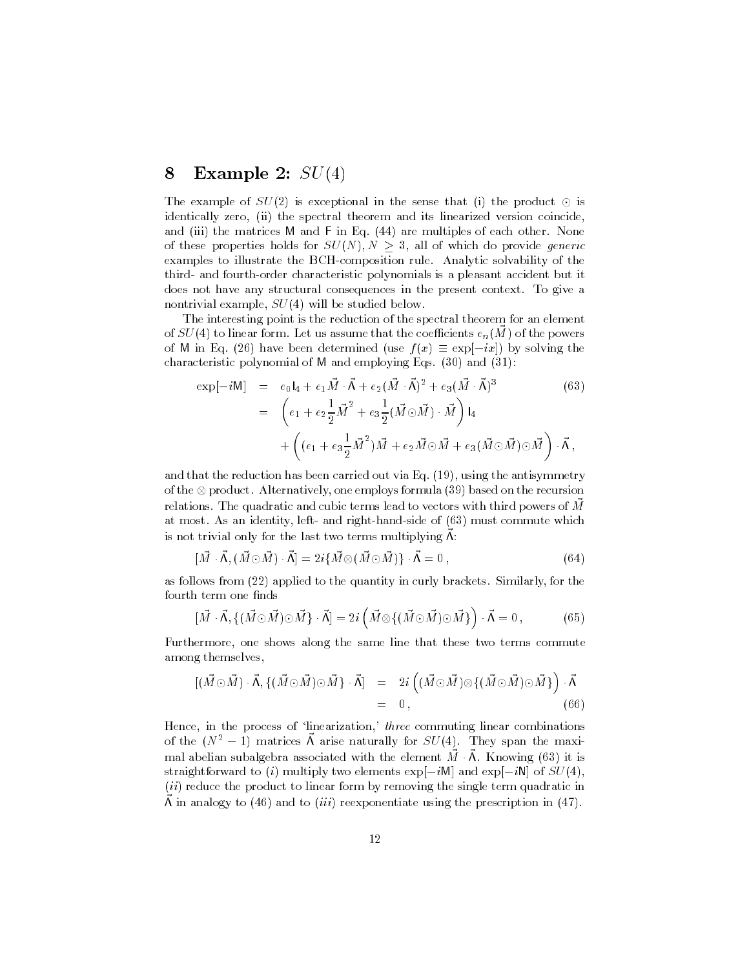#### 8 **Example 2:**  $SU(4)$

The example of  $SU(2)$  is exceptional in the sense that (i) the product  $\odot$  is identically zero, (ii) the spectral theorem and its linearized version coincide, and (iii) the matrices M and F in Eq. (44) are multiples of each other. None of these properties holds for  $SU(N), N \geq 3$ , all of which do provide generic examples to illustrate the BCH-composition rule. Analytic solvability of the third- and fourth-order characteristic polynomials is a pleasant accident but it does not have any structural consequences in the present context. To give a nontrivial example,  $SU(4)$  will be studied below.

The interesting point is the reduction of the spectral theorem for an element of  $SU(4)$  to linear form. Let us assume that the coefficients  $e_n(M)$  of the powers of M in Eq. (26) have been determined (use  $f(x) \equiv \exp[-ix]$ ) by solving the characteristic polynomial of M and employing Eqs. (30) and (31):

$$
\exp[-i\mathsf{M}] = e_0\mathsf{I}_4 + e_1\vec{M}\cdot\vec{\Lambda} + e_2(\vec{M}\cdot\vec{\Lambda})^2 + e_3(\vec{M}\cdot\vec{\Lambda})^3
$$
(63)  

$$
= \left(e_1 + e_2\frac{1}{2}\vec{M}^2 + e_3\frac{1}{2}(\vec{M}\odot\vec{M})\cdot\vec{M}\right)\mathsf{I}_4
$$

$$
+ \left((e_1 + e_3\frac{1}{2}\vec{M}^2)\vec{M} + e_2\vec{M}\odot\vec{M} + e_3(\vec{M}\odot\vec{M})\odot\vec{M}\right)\cdot\vec{\Lambda},
$$

and that the reduction has been carried out via Eq.  $(19)$ , using the antisymmetry of the  $\otimes$  product. Alternatively, one employs formula (39) based on the recursion relations. The quadratic and cubic terms lead to vectors with third powers of  $\vec{M}$ at most. As an identity, left- and right-hand-side of (63) must commute which is not trivial only for the last two terms multiplying  $\vec{\Lambda}$ :

$$
[\vec{M} \cdot \vec{\Lambda}, (\vec{M} \odot \vec{M}) \cdot \vec{\Lambda}] = 2i\{\vec{M} \otimes (\vec{M} \odot \vec{M})\} \cdot \vec{\Lambda} = 0 , \qquad (64)
$$

as follows from  $(22)$  applied to the quantity in curly brackets. Similarly, for the fourth term one finds

$$
[\vec{M} \cdot \vec{\Lambda}, \{(\vec{M} \odot \vec{M}) \odot \vec{M}\} \cdot \vec{\Lambda}] = 2i \left(\vec{M} \otimes \{(\vec{M} \odot \vec{M}) \odot \vec{M}\}\right) \cdot \vec{\Lambda} = 0, \tag{65}
$$

Furthermore, one shows along the same line that these two terms commute among themselves,

$$
[(\vec{M}\odot\vec{M})\cdot\vec{\Lambda},\{(\vec{M}\odot\vec{M})\odot\vec{M}\}\cdot\vec{\Lambda}] = 2i((\vec{M}\odot\vec{M})\otimes\{(\vec{M}\odot\vec{M})\odot\vec{M}\})\cdot\vec{\Lambda} = 0,
$$
\n(66)

Hence, in the process of 'linearization,' three commuting linear combinations of the  $(N^2-1)$  matrices A arise naturally for  $SU(4)$ . They span the maximal abelian subalgebra associated with the element  $\vec{M} \cdot \vec{\Lambda}$ . Knowing (63) it is straightforward to (i) multiply two elements  $\exp[-iM]$  and  $\exp[-iN]$  of  $SU(4)$ , (ii) reduce the product to linear form by removing the single term quadratic in  $\Lambda$  in analogy to (46) and to *(iii)* reexponentiate using the prescription in (47).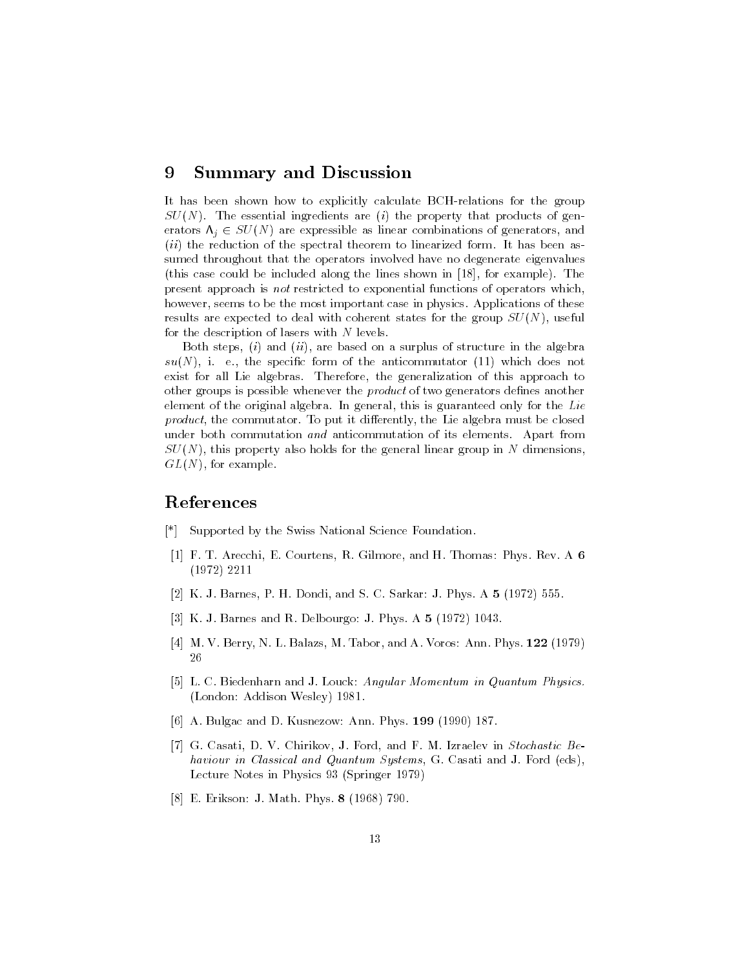#### **Summary and Discussion** 9

It has been shown how to explicitly calculate BCH-relations for the group  $SU(N)$ . The essential ingredients are (i) the property that products of generators  $\Lambda_i \in SU(N)$  are expressible as linear combinations of generators, and *(ii)* the reduction of the spectral theorem to linearized form. It has been assumed throughout that the operators involved have no degenerate eigenvalues (this case could be included along the lines shown in [18], for example). The present approach is not restricted to exponential functions of operators which, however, seems to be the most important case in physics. Applications of these results are expected to deal with coherent states for the group  $SU(N)$ , useful for the description of lasers with  $N$  levels.

Both steps,  $(i)$  and  $(ii)$ , are based on a surplus of structure in the algebra  $su(N)$ , i. e., the specific form of the anticommutator (11) which does not exist for all Lie algebras. Therefore, the generalization of this approach to other groups is possible whenever the *product* of two generators defines another element of the original algebra. In general, this is guaranteed only for the Lie *product*, the commutator. To put it differently, the Lie algebra must be closed under both commutation and anticommutation of its elements. Apart from  $SU(N)$ , this property also holds for the general linear group in N dimensions,  $GL(N)$ , for example.

# References

- [\*] Supported by the Swiss National Science Foundation.
- [1] F. T. Arecchi, E. Courtens, R. Gilmore, and H. Thomas: Phys. Rev. A 6  $(1972)$  2211
- [2] K. J. Barnes, P. H. Dondi, and S. C. Sarkar: J. Phys. A 5 (1972) 555.
- [3] K. J. Barnes and R. Delbourgo: J. Phys. A 5 (1972) 1043.
- [4] M. V. Berry, N. L. Balazs, M. Tabor, and A. Voros: Ann. Phys. 122 (1979) 26
- [5] L. C. Biedenharn and J. Louck: Angular Momentum in Quantum Physics. (London: Addison Wesley) 1981.
- [6] A. Bulgac and D. Kusnezow: Ann. Phys. 199 (1990) 187.
- [7] G. Casati, D. V. Chirikov, J. Ford, and F. M. Izraelev in Stochastic Behaviour in Classical and Quantum Systems, G. Casati and J. Ford (eds), Lecture Notes in Physics 93 (Springer 1979)
- [8] E. Erikson: J. Math. Phys. 8 (1968) 790.